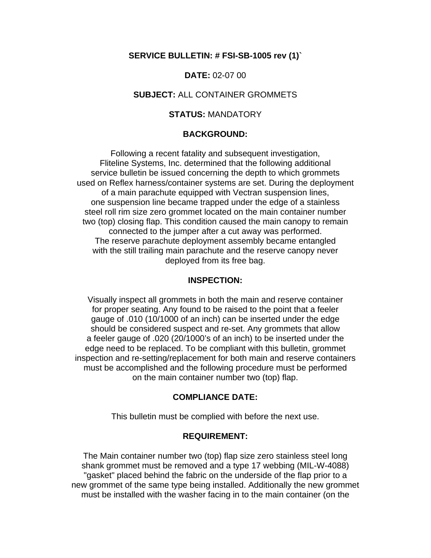#### **SERVICE BULLETIN: # FSI-SB-1005 rev (1)`**

**DATE:** 02-07 00

#### **SUBJECT:** ALL CONTAINER GROMMETS

#### **STATUS:** MANDATORY

#### **BACKGROUND:**

Following a recent fatality and subsequent investigation, Fliteline Systems, Inc. determined that the following additional service bulletin be issued concerning the depth to which grommets used on Reflex harness/container systems are set. During the deployment of a main parachute equipped with Vectran suspension lines, one suspension line became trapped under the edge of a stainless steel roll rim size zero grommet located on the main container number two (top) closing flap. This condition caused the main canopy to remain connected to the jumper after a cut away was performed. The reserve parachute deployment assembly became entangled with the still trailing main parachute and the reserve canopy never deployed from its free bag.

#### **INSPECTION:**

Visually inspect all grommets in both the main and reserve container for proper seating. Any found to be raised to the point that a feeler gauge of .010 (10/1000 of an inch) can be inserted under the edge should be considered suspect and re-set. Any grommets that allow a feeler gauge of .020 (20/1000's of an inch) to be inserted under the edge need to be replaced. To be compliant with this bulletin, grommet inspection and re-setting/replacement for both main and reserve containers must be accomplished and the following procedure must be performed on the main container number two (top) flap.

### **COMPLIANCE DATE:**

This bulletin must be complied with before the next use.

#### **REQUIREMENT:**

The Main container number two (top) flap size zero stainless steel long shank grommet must be removed and a type 17 webbing (MIL-W-4088) "gasket" placed behind the fabric on the underside of the flap prior to a new grommet of the same type being installed. Additionally the new grommet must be installed with the washer facing in to the main container (on the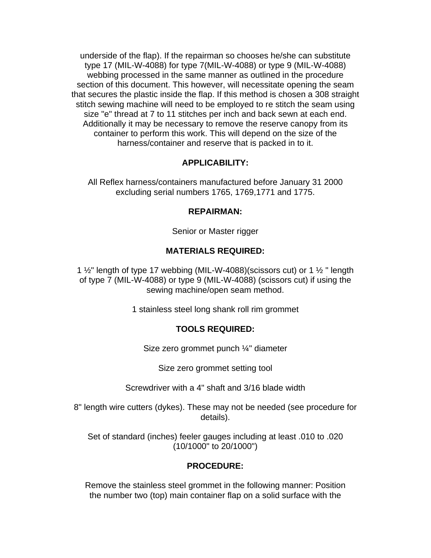underside of the flap). If the repairman so chooses he/she can substitute type 17 (MIL-W-4088) for type 7(MIL-W-4088) or type 9 (MIL-W-4088) webbing processed in the same manner as outlined in the procedure section of this document. This however, will necessitate opening the seam that secures the plastic inside the flap. If this method is chosen a 308 straight stitch sewing machine will need to be employed to re stitch the seam using size "e" thread at 7 to 11 stitches per inch and back sewn at each end. Additionally it may be necessary to remove the reserve canopy from its container to perform this work. This will depend on the size of the harness/container and reserve that is packed in to it.

## **APPLICABILITY:**

All Reflex harness/containers manufactured before January 31 2000 excluding serial numbers 1765, 1769,1771 and 1775.

### **REPAIRMAN:**

Senior or Master rigger

## **MATERIALS REQUIRED:**

1  $\frac{1}{2}$ " length of type 17 webbing (MIL-W-4088)(scissors cut) or 1  $\frac{1}{2}$ " length of type 7 (MIL-W-4088) or type 9 (MIL-W-4088) (scissors cut) if using the sewing machine/open seam method.

1 stainless steel long shank roll rim grommet

# **TOOLS REQUIRED:**

Size zero grommet punch ¼" diameter

Size zero grommet setting tool

Screwdriver with a 4" shaft and 3/16 blade width

8" length wire cutters (dykes). These may not be needed (see procedure for details).

Set of standard (inches) feeler gauges including at least .010 to .020 (10/1000" to 20/1000")

## **PROCEDURE:**

Remove the stainless steel grommet in the following manner: Position the number two (top) main container flap on a solid surface with the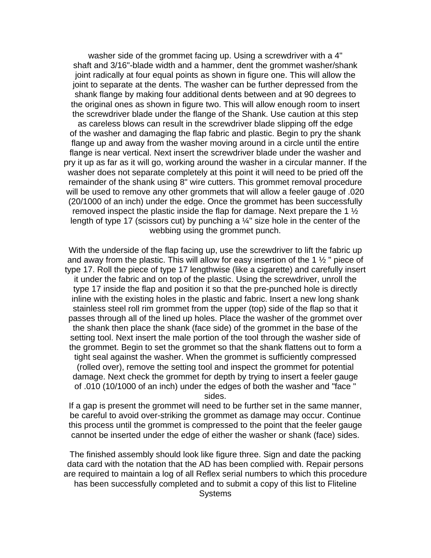washer side of the grommet facing up. Using a screwdriver with a 4" shaft and 3/16"-blade width and a hammer, dent the grommet washer/shank joint radically at four equal points as shown in figure one. This will allow the joint to separate at the dents. The washer can be further depressed from the shank flange by making four additional dents between and at 90 degrees to the original ones as shown in figure two. This will allow enough room to insert the screwdriver blade under the flange of the Shank. Use caution at this step as careless blows can result in the screwdriver blade slipping off the edge of the washer and damaging the flap fabric and plastic. Begin to pry the shank flange up and away from the washer moving around in a circle until the entire flange is near vertical. Next insert the screwdriver blade under the washer and pry it up as far as it will go, working around the washer in a circular manner. If the washer does not separate completely at this point it will need to be pried off the remainder of the shank using 8" wire cutters. This grommet removal procedure will be used to remove any other grommets that will allow a feeler gauge of .020 (20/1000 of an inch) under the edge. Once the grommet has been successfully removed inspect the plastic inside the flap for damage. Next prepare the 1 ½ length of type 17 (scissors cut) by punching a  $\frac{1}{4}$ " size hole in the center of the webbing using the grommet punch.

With the underside of the flap facing up, use the screwdriver to lift the fabric up and away from the plastic. This will allow for easy insertion of the 1 ½ " piece of type 17. Roll the piece of type 17 lengthwise (like a cigarette) and carefully insert it under the fabric and on top of the plastic. Using the screwdriver, unroll the type 17 inside the flap and position it so that the pre-punched hole is directly inline with the existing holes in the plastic and fabric. Insert a new long shank stainless steel roll rim grommet from the upper (top) side of the flap so that it passes through all of the lined up holes. Place the washer of the grommet over the shank then place the shank (face side) of the grommet in the base of the setting tool. Next insert the male portion of the tool through the washer side of the grommet. Begin to set the grommet so that the shank flattens out to form a tight seal against the washer. When the grommet is sufficiently compressed (rolled over), remove the setting tool and inspect the grommet for potential damage. Next check the grommet for depth by trying to insert a feeler gauge of .010 (10/1000 of an inch) under the edges of both the washer and "face " sides.

If a gap is present the grommet will need to be further set in the same manner, be careful to avoid over-striking the grommet as damage may occur. Continue this process until the grommet is compressed to the point that the feeler gauge cannot be inserted under the edge of either the washer or shank (face) sides.

The finished assembly should look like figure three. Sign and date the packing data card with the notation that the AD has been complied with. Repair persons are required to maintain a log of all Reflex serial numbers to which this procedure has been successfully completed and to submit a copy of this list to Fliteline **Systems**